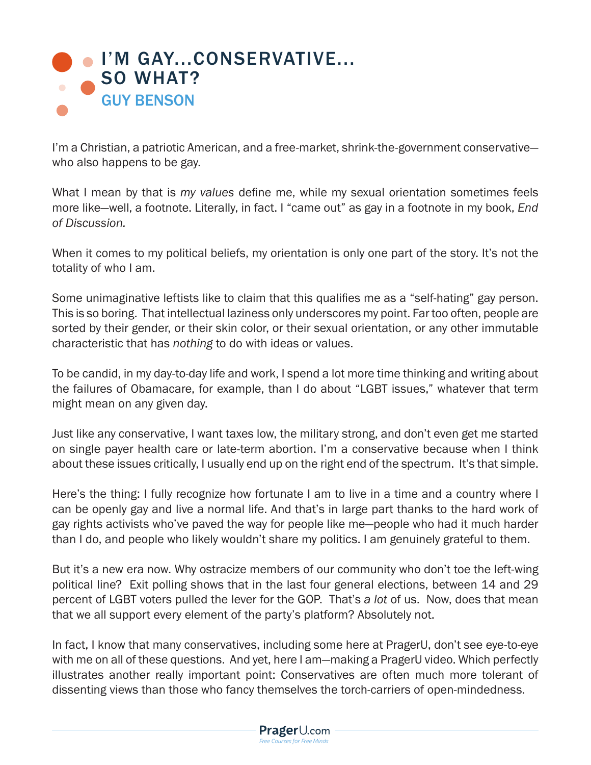

I'm a Christian, a patriotic American, and a free-market, shrink-the-government conservative who also happens to be gay.

What I mean by that is *my values* define me, while my sexual orientation sometimes feels more like—well, a footnote. Literally, in fact. I "came out" as gay in a footnote in my book, *End of Discussion.* 

When it comes to my political beliefs, my orientation is only one part of the story. It's not the totality of who I am.

Some unimaginative leftists like to claim that this qualifies me as a "self-hating" gay person. This is so boring. That intellectual laziness only underscores my point. Far too often, people are sorted by their gender, or their skin color, or their sexual orientation, or any other immutable characteristic that has *nothing* to do with ideas or values.

To be candid, in my day-to-day life and work, I spend a lot more time thinking and writing about the failures of Obamacare, for example, than I do about "LGBT issues," whatever that term might mean on any given day.

Just like any conservative, I want taxes low, the military strong, and don't even get me started on single payer health care or late-term abortion. I'm a conservative because when I think about these issues critically, I usually end up on the right end of the spectrum. It's that simple.

Here's the thing: I fully recognize how fortunate I am to live in a time and a country where I can be openly gay and live a normal life. And that's in large part thanks to the hard work of gay rights activists who've paved the way for people like me—people who had it much harder than I do, and people who likely wouldn't share my politics. I am genuinely grateful to them.

But it's a new era now. Why ostracize members of our community who don't toe the left-wing political line? Exit polling shows that in the last four general elections, between 14 and 29 percent of LGBT voters pulled the lever for the GOP. That's *a lot* of us. Now, does that mean that we all support every element of the party's platform? Absolutely not.

In fact, I know that many conservatives, including some here at PragerU, don't see eye-to-eye with me on all of these questions. And yet, here I am—making a PragerU video. Which perfectly illustrates another really important point: Conservatives are often much more tolerant of dissenting views than those who fancy themselves the torch-carriers of open-mindedness.